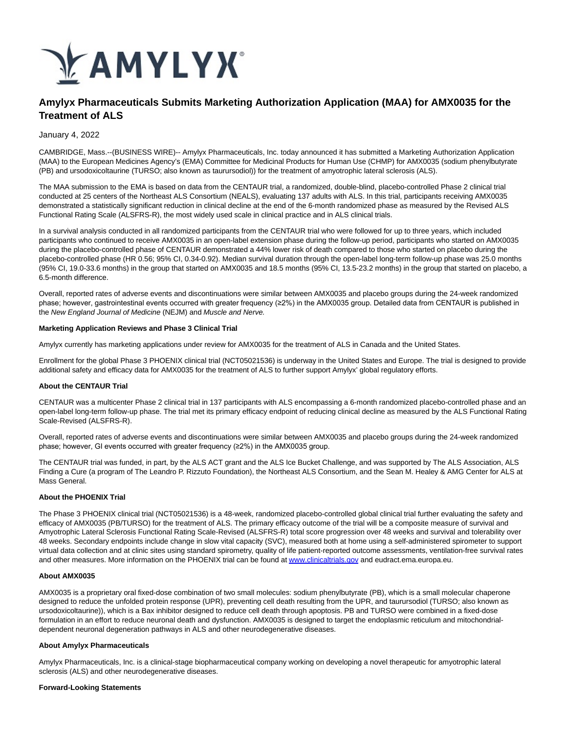

# **Amylyx Pharmaceuticals Submits Marketing Authorization Application (MAA) for AMX0035 for the Treatment of ALS**

### January 4, 2022

CAMBRIDGE, Mass.--(BUSINESS WIRE)-- Amylyx Pharmaceuticals, Inc. today announced it has submitted a Marketing Authorization Application (MAA) to the European Medicines Agency's (EMA) Committee for Medicinal Products for Human Use (CHMP) for AMX0035 (sodium phenylbutyrate (PB) and ursodoxicoltaurine (TURSO; also known as taurursodiol)) for the treatment of amyotrophic lateral sclerosis (ALS).

The MAA submission to the EMA is based on data from the CENTAUR trial, a randomized, double-blind, placebo-controlled Phase 2 clinical trial conducted at 25 centers of the Northeast ALS Consortium (NEALS), evaluating 137 adults with ALS. In this trial, participants receiving AMX0035 demonstrated a statistically significant reduction in clinical decline at the end of the 6-month randomized phase as measured by the Revised ALS Functional Rating Scale (ALSFRS-R), the most widely used scale in clinical practice and in ALS clinical trials.

In a survival analysis conducted in all randomized participants from the CENTAUR trial who were followed for up to three years, which included participants who continued to receive AMX0035 in an open-label extension phase during the follow-up period, participants who started on AMX0035 during the placebo-controlled phase of CENTAUR demonstrated a 44% lower risk of death compared to those who started on placebo during the placebo-controlled phase (HR 0.56; 95% CI, 0.34-0.92). Median survival duration through the open-label long-term follow-up phase was 25.0 months (95% CI, 19.0-33.6 months) in the group that started on AMX0035 and 18.5 months (95% CI, 13.5-23.2 months) in the group that started on placebo, a 6.5-month difference.

Overall, reported rates of adverse events and discontinuations were similar between AMX0035 and placebo groups during the 24-week randomized phase; however, gastrointestinal events occurred with greater frequency (≥2%) in the AMX0035 group. Detailed data from CENTAUR is published in the New England Journal of Medicine (NEJM) and Muscle and Nerve.

#### **Marketing Application Reviews and Phase 3 Clinical Trial**

Amylyx currently has marketing applications under review for AMX0035 for the treatment of ALS in Canada and the United States.

Enrollment for the global Phase 3 PHOENIX clinical trial (NCT05021536) is underway in the United States and Europe. The trial is designed to provide additional safety and efficacy data for AMX0035 for the treatment of ALS to further support Amylyx' global regulatory efforts.

## **About the CENTAUR Trial**

CENTAUR was a multicenter Phase 2 clinical trial in 137 participants with ALS encompassing a 6-month randomized placebo-controlled phase and an open-label long-term follow-up phase. The trial met its primary efficacy endpoint of reducing clinical decline as measured by the ALS Functional Rating Scale-Revised (ALSFRS-R).

Overall, reported rates of adverse events and discontinuations were similar between AMX0035 and placebo groups during the 24-week randomized phase; however, GI events occurred with greater frequency (≥2%) in the AMX0035 group.

The CENTAUR trial was funded, in part, by the ALS ACT grant and the ALS Ice Bucket Challenge, and was supported by The ALS Association, ALS Finding a Cure (a program of The Leandro P. Rizzuto Foundation), the Northeast ALS Consortium, and the Sean M. Healey & AMG Center for ALS at Mass General.

## **About the PHOENIX Trial**

The Phase 3 PHOENIX clinical trial (NCT05021536) is a 48-week, randomized placebo-controlled global clinical trial further evaluating the safety and efficacy of AMX0035 (PB/TURSO) for the treatment of ALS. The primary efficacy outcome of the trial will be a composite measure of survival and Amyotrophic Lateral Sclerosis Functional Rating Scale-Revised (ALSFRS-R) total score progression over 48 weeks and survival and tolerability over 48 weeks. Secondary endpoints include change in slow vital capacity (SVC), measured both at home using a self-administered spirometer to support virtual data collection and at clinic sites using standard spirometry, quality of life patient-reported outcome assessments, ventilation-free survival rates and other measures. More information on the PHOENIX trial can be found a[t www.clinicaltrials.gov a](https://cts.businesswire.com/ct/CT?id=smartlink&url=http%3A%2F%2Fwww.clinicaltrials.gov&esheet=52557265&newsitemid=20220104005424&lan=en-US&anchor=www.clinicaltrials.gov&index=1&md5=db7ba9fb2c46ba8cc4fb2beccf334593)nd eudract.ema.europa.eu.

## **About AMX0035**

AMX0035 is a proprietary oral fixed-dose combination of two small molecules: sodium phenylbutyrate (PB), which is a small molecular chaperone designed to reduce the unfolded protein response (UPR), preventing cell death resulting from the UPR, and taurursodiol (TURSO; also known as ursodoxicoltaurine)), which is a Bax inhibitor designed to reduce cell death through apoptosis. PB and TURSO were combined in a fixed-dose formulation in an effort to reduce neuronal death and dysfunction. AMX0035 is designed to target the endoplasmic reticulum and mitochondrialdependent neuronal degeneration pathways in ALS and other neurodegenerative diseases.

#### **About Amylyx Pharmaceuticals**

Amylyx Pharmaceuticals, Inc. is a clinical-stage biopharmaceutical company working on developing a novel therapeutic for amyotrophic lateral sclerosis (ALS) and other neurodegenerative diseases.

#### **Forward-Looking Statements**